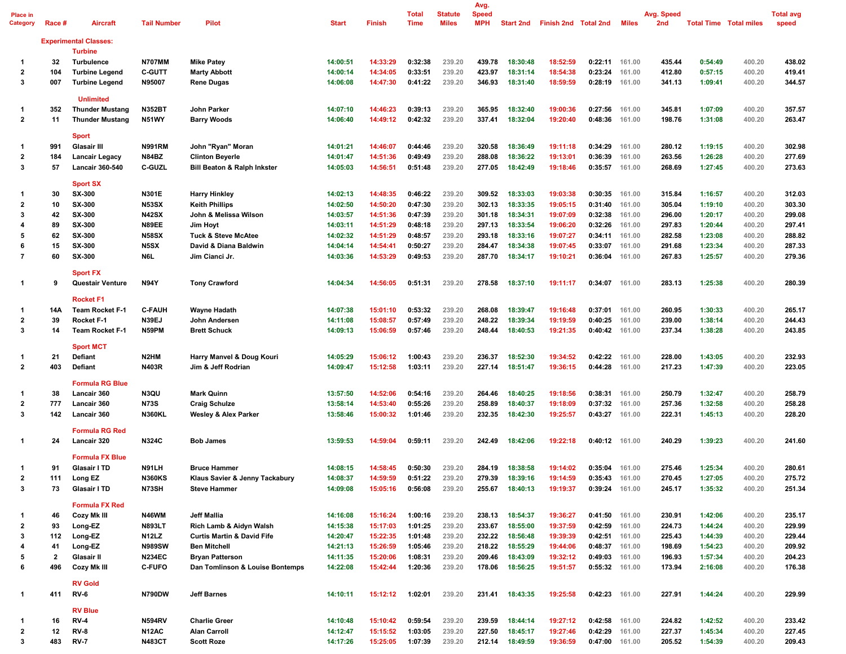| Place in<br>Category         | Race #                  | <b>Aircraft</b>                                  | <b>Tail Number</b>            | <b>Pilot</b>                                            | <b>Start</b>         | <b>Finish</b>        | Total<br><b>Time</b> | <b>Statute</b><br><b>Miles</b> | Avg.<br><b>Speed</b><br><b>MPH</b> |                      | Start 2nd Finish 2nd Total 2nd |                           | Miles            | Avg. Speed<br>2nd | <b>Total Time Total miles</b> |                  | <b>Total avg</b><br>speed |
|------------------------------|-------------------------|--------------------------------------------------|-------------------------------|---------------------------------------------------------|----------------------|----------------------|----------------------|--------------------------------|------------------------------------|----------------------|--------------------------------|---------------------------|------------------|-------------------|-------------------------------|------------------|---------------------------|
|                              |                         | <b>Experimental Classes:</b><br><b>Turbine</b>   |                               |                                                         |                      |                      |                      |                                |                                    |                      |                                |                           |                  |                   |                               |                  |                           |
| -1                           | 32                      | <b>Turbulence</b>                                | <b>N707MM</b>                 | <b>Mike Patey</b>                                       | 14:00:51             | 14:33:29             | 0:32:38              | 239.20                         | 439.78                             | 18:30:48             | 18:52:59                       | 0:22:11                   | 161.00           | 435.44            | 0:54:49                       | 400.20           | 438.02                    |
| 2                            | 104                     | <b>Turbine Legend</b>                            | <b>C-GUTT</b>                 | <b>Marty Abbott</b>                                     | 14:00:14             | 14:34:05             | 0:33:51              | 239.20                         | 423.97                             | 18:31:14             | 18:54:38                       | 0:23:24                   | 161.00           | 412.80            | 0:57:15                       | 400.20           | 419.41                    |
| 3                            | 007                     | <b>Turbine Legend</b>                            | N95007                        | <b>Rene Dugas</b>                                       | 14:06:08             | 14:47:30             | 0:41:22              | 239.20                         | 346.93                             | 18:31:40             | 18:59:59                       | 0:28:19                   | 161.00           | 341.13            | 1:09:41                       | 400.20           | 344.57                    |
|                              |                         | <b>Unlimited</b>                                 |                               |                                                         |                      |                      |                      |                                | 365.95                             |                      |                                |                           |                  |                   |                               |                  |                           |
| 1<br>$\overline{2}$          | 352<br>11               | <b>Thunder Mustang</b><br><b>Thunder Mustang</b> | <b>N352BT</b><br><b>N51WY</b> | John Parker                                             | 14:07:10<br>14:06:40 | 14:46:23<br>14:49:12 | 0:39:13<br>0:42:32   | 239.20<br>239.20               | 337.41                             | 18:32:40<br>18:32:04 | 19:00:36<br>19:20:40           | 0:27:56<br>0.48:36        | 161.00<br>161.00 | 345.81<br>198.76  | 1:07:09<br>1:31:08            | 400.20<br>400.20 | 357.57<br>263.47          |
|                              |                         | <b>Sport</b>                                     |                               | <b>Barry Woods</b>                                      |                      |                      |                      |                                |                                    |                      |                                |                           |                  |                   |                               |                  |                           |
| 1                            | 991                     | Glasair III                                      | <b>N991RM</b>                 | John "Ryan" Moran                                       | 14:01:21             | 14:46:07             | 0:44:46              | 239.20                         | 320.58                             | 18:36:49             | 19:11:18                       | 0:34:29                   | 161.00           | 280.12            | 1:19:15                       | 400.20           | 302.98                    |
| $\overline{\mathbf{2}}$      | 184                     | Lancair Legacy                                   | N84BZ                         | <b>Clinton Beyerle</b>                                  | 14:01:47             | 14:51:36             | 0:49:49              | 239.20                         | 288.08                             | 18:36:22             | 19:13:01                       | 0:36:39                   | 161.00           | 263.56            | 1:26:28                       | 400.20           | 277.69                    |
| 3                            | 57                      | Lancair 360-540                                  | C-GUZL                        | <b>Bill Beaton &amp; Ralph Inkster</b>                  | 14:05:03             | 14:56:51             | 0:51:48              | 239.20                         | 277.05                             | 18:42:49             | 19:18:46                       | 0:35:57                   | 161.00           | 268.69            | 1:27:45                       | 400.20           | 273.63                    |
|                              |                         | <b>Sport SX</b>                                  |                               |                                                         |                      |                      |                      |                                |                                    |                      |                                |                           |                  |                   |                               |                  |                           |
| 1<br>$\overline{\mathbf{2}}$ | 30<br>10                | <b>SX-300</b><br>SX-300                          | N301E<br><b>N53SX</b>         | <b>Harry Hinkley</b><br><b>Keith Phillips</b>           | 14:02:13<br>14:02:50 | 14:48:35<br>14:50:20 | 0:46:22<br>0:47:30   | 239.20<br>239.20               | 309.52<br>302.13                   | 18:33:03<br>18:33:35 | 19:03:38<br>19:05:15           | 0:30:35<br>0:31:40        | 161.00<br>161.00 | 315.84<br>305.04  | 1:16:57<br>1:19:10            | 400.20<br>400.20 | 312.03<br>303.30          |
| 3                            | 42                      | <b>SX-300</b>                                    | <b>N42SX</b>                  |                                                         |                      | 14:51:36             | 0:47:39              | 239.20                         | 301.18                             | 18:34:31             | 19:07:09                       | 0:32:38                   | 161.00           | 296.00            | 1:20:17                       | 400.20           | 299.08                    |
| 4                            | 89                      | SX-300                                           | <b>N89EE</b>                  | John & Melissa Wilson<br><b>Jim Hovt</b>                | 14:03:57<br>14:03:11 | 14:51:29             | 0:48:18              | 239.20                         | 297.13                             | 18:33:54             | 19:06:20                       | 0:32:26                   | 161.00           | 297.83            | 1:20:44                       | 400.20           | 297.41                    |
| 5                            | 62                      | <b>SX-300</b>                                    | <b>N58SX</b>                  |                                                         | 14:02:32             | 14:51:29             | 0:48:57              | 239.20                         | 293.18                             | 18:33:16             | 19:07:27                       | 0:34:11                   | 161.00           | 282.58            | 1:23:08                       | 400.20           | 288.82                    |
| 6                            | 15                      | <b>SX-300</b>                                    | N5SX                          | <b>Tuck &amp; Steve McAtee</b><br>David & Diana Baldwin | 14:04:14             | 14:54:41             | 0:50:27              | 239.20                         | 284.47                             | 18:34:38             | 19:07:45                       | 0:33:07                   | 161.00           | 291.68            | 1:23:34                       | 400.20           | 287.33                    |
| 7                            | 60                      | <b>SX-300</b>                                    | N6L                           | Jim Cianci Jr.                                          | 14:03:36             | 14:53:29             | 0:49:53              | 239.20                         | 287.70                             | 18:34:17             | 19:10:21                       | 0:36:04                   | 161.00           | 267.83            | 1:25:57                       | 400.20           | 279.36                    |
| 1                            | 9                       | <b>Sport FX</b><br><b>Questair Venture</b>       | <b>N94Y</b>                   | <b>Tony Crawford</b>                                    | 14:04:34             | 14:56:05             | 0:51:31              | 239.20                         | 278.58                             | 18:37:10             | 19:11:17                       | 0:34:07                   | 161.00           | 283.13            | 1:25:38                       | 400.20           | 280.39                    |
|                              |                         | <b>Rocket F1</b>                                 |                               |                                                         |                      |                      |                      |                                |                                    |                      |                                |                           |                  |                   |                               |                  |                           |
| 1                            | 14A                     | <b>Team Rocket F-1</b>                           | <b>C-FAUH</b>                 | Wayne Hadath                                            | 14:07:38             | 15:01:10             | 0:53:32              | 239.20                         | 268.08                             | 18:39:47             | 19:16:48                       | 0:37:01                   | 161.00           | 260.95            | 1:30:33                       | 400.20           | 265.17                    |
| $\overline{\mathbf{2}}$      | 39                      | Rocket F-1                                       | <b>N39EJ</b>                  | John Andersen                                           | 14:11:08             | 15:08:57             | 0:57:49              | 239.20                         | 248.22                             | 18:39:34             | 19:19:59                       | 0:40:25                   | 161.00           | 239.00            | 1:38:14                       | 400.20           | 244.43                    |
| 3                            | 14                      | <b>Team Rocket F-1</b><br><b>Sport MCT</b>       | N59PM                         | <b>Brett Schuck</b>                                     | 14:09:13             | 15:06:59             | 0:57:46              | 239.20                         | 248.44                             | 18:40:53             | 19:21:35                       | 0:40:42 161.00            |                  | 237.34            | 1:38:28                       | 400.20           | 243.85                    |
| 1                            | 21                      | Defiant                                          | N2HM                          | Harry Manvel & Doug Kouri                               | 14:05:29             | 15:06:12             | 1:00:43              | 239.20                         | 236.37                             | 18:52:30             | 19:34:52                       | 0:42:22                   | 161.00           | 228.00            | 1:43:05                       | 400.20           | 232.93                    |
| $\overline{2}$               | 403                     | Defiant                                          | N403R                         | Jim & Jeff Rodrian                                      | 14:09:47             | 15:12:58             | 1:03:11              | 239.20                         | 227.14                             | 18:51:47             | 19:36:15                       | 0.44:28                   | 161.00           | 217.23            | 1:47:39                       | 400.20           | 223.05                    |
|                              | 38                      | <b>Formula RG Blue</b>                           | N3QU                          |                                                         |                      |                      |                      |                                |                                    |                      |                                |                           |                  |                   | 1:32:47                       |                  | 258.79                    |
| 1                            |                         | Lancair 360                                      |                               | <b>Mark Quinn</b>                                       | 13:57:50             | 14:52:06             | 0:54:16              | 239.20                         | 264.46                             | 18:40:25             | 19:18:56                       | 0:38:31                   | 161.00           | 250.79            |                               | 400.20           |                           |
| 2<br>3                       | 777                     | Lancair 360<br>Lancair 360                       | <b>N73S</b><br><b>N360KL</b>  | <b>Craig Schulze</b>                                    | 13:58:14<br>13:58:46 | 14:53:40             | 0:55:26<br>1:01:46   | 239.20<br>239.20               | 258.89<br>232.35                   | 18:40:37<br>18:42:30 | 19:18:09<br>19:25:57           | 0:37:32<br>0.43:27        | 161.00           | 257.36<br>222.31  | 1:32:58<br>1:45:13            | 400.20<br>400.20 | 258.28<br>228.20          |
|                              | 142                     | <b>Formula RG Red</b>                            |                               | Wesley & Alex Parker                                    |                      | 15:00:32             |                      |                                |                                    |                      |                                |                           | 161.00           |                   |                               |                  |                           |
| 1                            | 24                      | Lancair 320                                      | <b>N324C</b>                  | <b>Bob James</b>                                        | 13:59:53             | 14:59:04             | 0:59:11              | 239.20                         | 242.49                             | 18:42:06             | 19:22:18                       | $0:40:12$ 161.00          |                  | 240.29            | 1:39:23                       | 400.20           | 241.60                    |
|                              |                         | <b>Formula FX Blue</b>                           |                               |                                                         |                      |                      |                      |                                |                                    |                      |                                |                           |                  |                   |                               |                  |                           |
| 1                            | 91                      | Glasair I TD                                     | N91LH                         | <b>Bruce Hammer</b>                                     | 14:08:15             | 14:58:45<br>14:59:59 | 0:50:30              | 239.20                         | 284.19                             | 18:38:58             | 19:14:02                       | 0:35:04 161.00            |                  | 275.46            | 1:25:34                       | 400.20           | 280.61                    |
| 2<br>3                       | 111<br>73               | Long EZ<br>Glasair I TD                          | <b>N360KS</b><br>N73SH        | Klaus Savier & Jenny Tackabury<br><b>Steve Hammer</b>   | 14:08:37<br>14:09:08 | 15:05:16             | 0:51:22<br>0:56:08   | 239.20<br>239.20               | 279.39<br>255.67                   | 18:39:16<br>18:40:13 | 19:14:59<br>19:19:37           | 0:35:43<br>0:39:24 161.00 | 161.00           | 270.45<br>245.17  | 1:27:05<br>1:35:32            | 400.20<br>400.20 | 275.72<br>251.34          |
|                              |                         | <b>Formula FX Red</b>                            |                               |                                                         |                      |                      |                      |                                |                                    |                      |                                |                           |                  |                   |                               |                  |                           |
| 1                            | 46                      | Cozy Mk III                                      | N46WM                         | <b>Jeff Mallia</b>                                      | 14:16:08             | 15:16:24             | 1:00:16              | 239.20                         | 238.13                             | 18:54:37             | 19:36:27                       | $0:41:50$ 161.00          |                  | 230.91            | 1:42:06                       | 400.20           | 235.17                    |
| 2                            | 93                      | Long-EZ                                          | <b>N893LT</b>                 | Rich Lamb & Aidyn Walsh                                 | 14:15:38             | 15:17:03             | 1:01:25              | 239.20                         | 233.67                             | 18:55:00             | 19:37:59                       | $0.42:59$ 161.00          |                  | 224.73            | 1:44:24                       | 400.20           | 229.99                    |
| 3                            | 112                     | Long-EZ                                          | <b>N12LZ</b>                  | <b>Curtis Martin &amp; David Fife</b>                   | 14:20:47             | 15:22:35             | 1:01:48              | 239.20                         | 232.22                             | 18:56:48             | 19:39:39                       | 0:42:51 161.00            |                  | 225.43            | 1:44:39                       | 400.20           | 229.44                    |
| 4                            | 41                      | Long-EZ                                          | <b>N989SW</b>                 | <b>Ben Mitchell</b>                                     | 14:21:13             | 15:26:59             | 1:05:46              | 239.20                         | 218.22                             | 18:55:29             | 19:44:06                       | 0:48:37 161.00            |                  | 198.69            | 1:54:23                       | 400.20           | 209.92                    |
| 5                            | $\overline{\mathbf{2}}$ | Glasair II                                       | <b>N234EC</b>                 | <b>Bryan Patterson</b>                                  | 14:11:35             | 15:20:06             | 1:08:31              | 239.20                         | 209.46                             | 18:43:09             | 19:32:12                       | $0:49:03$ 161.00          |                  | 196.93            | 1:57:34                       | 400.20           | 204.23                    |
| 6                            | 496                     | Cozy Mk III                                      | <b>C-FUFO</b>                 | Dan Tomlinson & Louise Bontemps                         | 14:22:08             | 15:42:44             | 1:20:36              | 239.20                         | 178.06                             | 18:56:25             | 19:51:57                       | 0:55:32 161.00            |                  | 173.94            | 2:16:08                       | 400.20           | 176.38                    |
| 1                            | 411                     | <b>RV Gold</b><br><b>RV-6</b>                    | <b>N790DW</b>                 | <b>Jeff Barnes</b>                                      | 14:10:11             | 15:12:12             | 1:02:01              | 239.20                         | 231.41                             | 18:43:35             | 19:25:58                       | $0.42:23$ 161.00          |                  | 227.91            | 1:44:24                       | 400.20           | 229.99                    |
|                              |                         | <b>RV Blue</b>                                   |                               |                                                         |                      |                      |                      |                                |                                    |                      |                                |                           |                  |                   |                               |                  |                           |
| 1                            | 16                      | <b>RV-4</b>                                      | <b>N594RV</b>                 | <b>Charlie Greer</b>                                    | 14:10:48             | 15:10:42             | 0:59:54              | 239.20                         | 239.59                             | 18:44:14             | 19:27:12                       | $0:42:58$ 161.00          |                  | 224.82            | 1:42:52                       | 400.20           | 233.42                    |
| 2                            | 12                      | <b>RV-8</b>                                      | N12AC                         | <b>Alan Carroll</b>                                     | 14:12:47             | 15:15:52             | 1:03:05              | 239.20                         | 227.50                             | 18:45:17             | 19:27:46                       | 0:42:29 161.00            |                  | 227.37            | 1:45:34                       | 400.20           | 227.45                    |
| 3                            | 483                     | <b>RV-7</b>                                      | <b>N483CT</b>                 | <b>Scott Roze</b>                                       | 14:17:26             | 15:25:05             | 1:07:39              | 239.20                         |                                    | 212.14 18:49:59      | 19:36:59                       | 0:47:00 161.00            |                  | 205.52            | 1:54:39                       | 400.20           | 209.43                    |